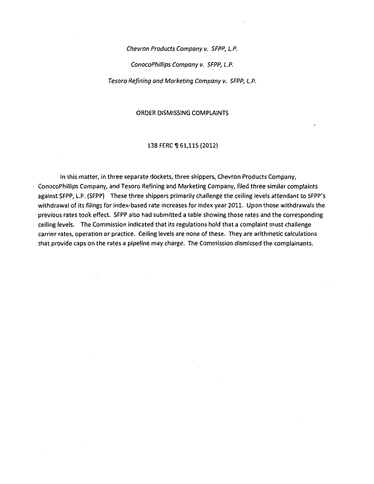Chevron Products Company v. SFPP, L.P.

ConocoPhillips Company v. SFPP, L.P.

Tesoro Refining and Marketing Company v. SFPP, L.P.

#### ORDER DISMISSING COMPLAINTS

#### 138 FERC ¶ 61,115 (2012)

In this matter, in three separate dockets, three shippers, Chevron Products Company, ConocoPhillips Company, and Tesoro Refining and Marketing Company, filed three similar complaints against SFPP, l.P. (SFPP) These three shippers primarily challenge the ceiling levels attendant to SFPP's withdrawal of its filings for index-based rate increases for index year 2011. Upon those withdrawals the previous rates took effect. SFPP also had submitted a table showing those rates and the corresponding ceiling levels. The Commission indicated that its regulations hold that a complaint must challenge carrier rates, operation or practice. Ceiling levels are none of these. They are arithmetic calculations that provide caps on the rates a pipeline may charge. The Commission dismissed the complainants.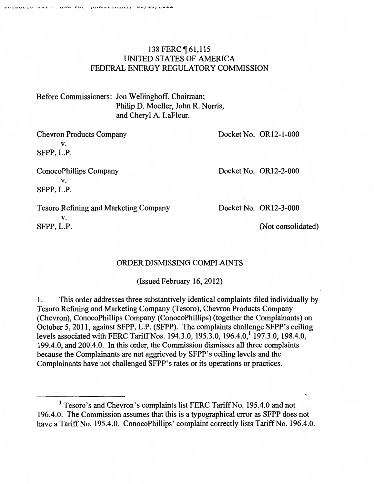## 138 FERC **[61,115** UNITED STATES OF AMERICA FEDERAL ENERGY REGULATORY COMMISSION

Before Commissioners: Jon Wellinghoff, Chairman; Philip D. Moeller, John R. Norris, and Cheryl A. LaFleur.

Chevron Products Company v. SFPP, L.P.

ConocoPhillips Company v. SFPP, L.P.

Docket No. OR12-3-000

Docket No. OR12-1-000

Docket No. OR12-2-000

Tesoro Refining and Marketing Company v. SFPP, L.P.

(Not consolidated)

 $\ddot{\mathbf{z}}$ 

#### ORDER DISMISSING COMPLAINTS

(Issued February 16, 2012)

1. This order addresses three substantively identical complaints filed individually by Tesoro Refining and Marketing Company {Tesoro), Chevron Products Company (Chevron), ConocoPhillips Company (ConocoPhillips) (together the Complainants) on October 5, 2011, against SFPP, L.P. (SFPP). The complaints challenge SFPP's ceiling levels associated with FERC Tariff Nos. 194.3.0, 195.3.0, 196.4.0,<sup>1</sup> 197.3.0, 198.4.0, 199.4.0, and 200.4.0. In this order, the Commission dismisses all three complaints because the Complainants are not aggrieved by SFPP's ceiling levels and the Complainants have not challenged SFPP's rates or its operations or practices.

<sup>1</sup> Tesoro's and Chevron's complaints list FERC Tariff No. 195.4.0 and not 196.4.0. The Commission assumes that this is a typographical error as SFPP does not have a Tariff No. 195.4.0. ConocoPhillips' complaint correctly lists Tariff No. 196.4.0.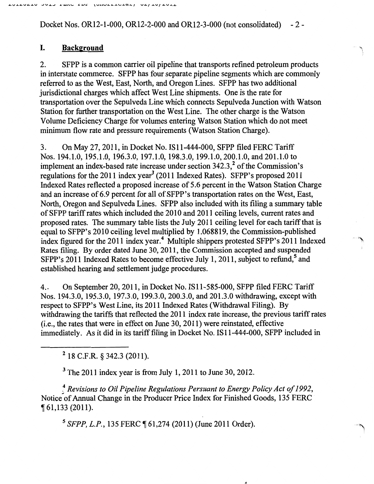Docket Nos. OR12-1-000, OR12-2-000 and OR12-3-000 (not consolidated) -2-

# I. **Background**

2. SFPP is a common carrier oil pipeline that transports refined petroleum products in interstate commerce. SFPP has four separate pipeline segments which are commonly referred to as the West, East, North, and Oregon Lines. SFPP has two additional jurisdictional charges which affect West Line shipments. One is the rate for transportation over the Sepulveda Line which connects Sepulveda Junction with Watson Station for further transportation on the West Line. The other charge is the Watson Volume Deficiency Charge for volumes entering Watson Station which do not meet minimum flow rate and pressure requirements (Watson Station Charge).

3. On May 27, 2011, in Docket No. IS11-444-000, SFPP filed FERC Tariff Nos. 194.1.0, 195.1.0, 196.3.0, 197.1.0, 198.3.0, 199.1.0, 200.1.0, and 201.1.0 to implement an index-based rate increase under section 342.3,<sup>2</sup> of the Commission's regulations for the 2011 index year<sup>3</sup> (2011 Indexed Rates). SFPP's proposed 2011 Indexed Rates reflected a proposed increase of 5.6 percent in the Watson Station Charge and an increase of 6.9 percent for all of SFPP's transportation rates on the West, East, North, Oregon and Sepulveda Lines. SFPP also included with its filing a summary table of SFPP tariff rates which included the 2010 and 2011 ceiling levels, current rates and proposed rates. The summary table lists the July 2011 ceiling level for each tariff that is equal to SFPP's 2010 ceiling level multiplied by 1.068819, the Commission-published index figured for the 2011 index year.<sup>4</sup> Multiple shippers protested SFPP's 2011 Indexed Rates filing. By order dated June 30,2011, the Commission accepted and suspended SFPP's 2011 Indexed Rates to become effective July 1, 2011, subject to refund,<sup>5</sup> and established hearing and settlement judge procedures.

4.. On September 20, 2011, in Docket No. IS11-585-000, SFPP filed FERC Tariff Nos. 194.3.0, 195.3.0, 197.3.0, 199.3.0, 200.3.0, and 201.3.0 withdrawing, except with respect to SFPP's West Line, its 2011 Indexed Rates (Withdrawal Filing). By withdrawing the tariffs that reflected the 2011 index rate increase, the previous tariff rates (i.e., the rates that were in effect on June 30, 2011) were reinstated, effective immediately. As it did in its tariff filing in Docket No. IS 11-444-000, SFPP included in

2 18 C.F.R. § 342.3 (2011).

<sup>3</sup> The 2011 index year is from July 1, 2011 to June 30, 2012.

~Revisions *to Oil Pipeline Regulations Persuant to Energy Policy Act of 1992,*  Notice of Annual Change in the Producer Price Index for Finished Goods, 135 FERC  $\P$  61,133 (2011).

<sup>5</sup> SFPP, L.P., 135 FERC ¶ 61,274 (2011) (June 2011 Order).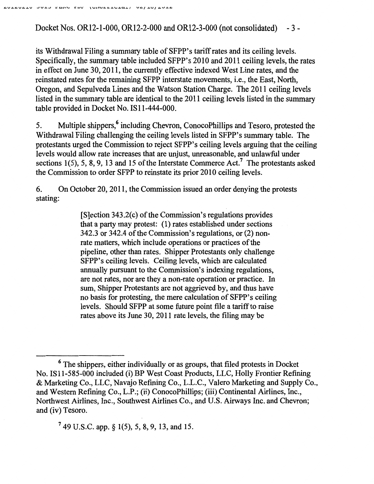Docket Nos. OR12-1-000, OR12-2-000 and OR12-3-000 (not consolidated) - 3 -

its Withdrawal Filing a summary table of SFPP's tariff rates and its ceiling levels. Specifically, the summary table included SFPP's 2010 and 2011 ceiling levels, the rates in effect on June 30, 20 11, the currently effective indexed West Line rates, and the reinstated rates for the remaining SFPP interstate movements, i.e., the East, North, Oregon, and Sepulveda Lines and the Watson Station Charge. The 2011 ceiling levels listed in the summary table are identical to the 2011 ceiling levels listed in the summary table provided in Docket No. IS11-444-000.

5. Multiple shippers,' including Chevron, ConocoPhillips and Tesoro, protested the Withdrawal Filing challenging the ceiling levels listed in SFPP's summary table. The protestants urged the Commission to reject SFPP's ceiling levels arguing that the ceiling levels would allow rate increases that are unjust, unreasonable, and unlawful under sections 1(5), 5, 8, 9, 13 and 15 of the Interstate Commerce Act.<sup>7</sup> The protestants asked the Commission to order SFPP to reinstate its prior 2010 ceiling levels.

6. On October 20, 2011, the Commission issued an order denying the protests stating:

> [S]ection 343.2(c) of the Commission's regulations provides that a party may protest: (1) rates established under sections 342.3 or 342.4 of the Commission's regulations, or (2) nonrate matters, which include operations or practices of the pipeline, other than rates. Shipper Protestants only challenge SFPP's ceiling levels. Ceiling levels, which are calculated annually pursuant to the Commission's indexing regulations, are not rates, nor are they a non-rate operation or practice. In sum, Shipper Protestants are not aggrieved by, and thus have no basis for protesting, the mere calculation of SFPP's ceiling levels. Should SFPP at some future point file a tariff to raise rates above its June 30, 2011 rate levels, the filing may be

7 49 U.S.C. app. § 1(5), *5,* 8, 9, 13, and 15.

 $6$  The shippers, either individually or as groups, that filed protests in Docket No. IS11-585-000 included (i) BP West Coast Products, LLC, Holly Frontier Refining & Marketing Co., LLC, Navajo Refining Co., L.L.C., Valero Marketing and Supply Co., and Western Refining Co., L.P .; (ii) ConocoPhillips; (iii) Continental Airlines, Inc., Northwest Airlines, Inc., Southwest Airlines Co., and U.S. Airways Inc. and Chevron; and (iv) Tesoro.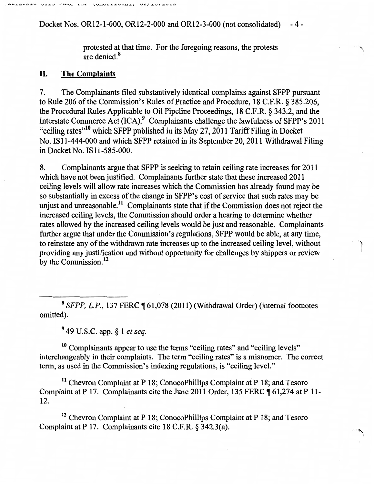Docket Nos. OR12-1-000, OR12-2-000 and OR12-3-000 (not consolidated) -4-

> protested at that time. For the foregoing reasons, the protests are denied.8

"' l

#### II. **The Complaints**

7. The Complainants filed substantively identical complaints against SFPP pursuant to Rule 206 of the Commission's Rules of Practice and Procedure, 18 C.F.R. § 385.206, the Procedural Rules Applicable to Oil Pipeline Proceedings, 18 C.F.R. § 343.2, and the Interstate Commerce Act (ICA).<sup>9</sup> Complainants challenge the lawfulness of SFPP's 2011 "ceiling rates"<sup>10</sup> which SFPP published in its May 27, 2011 Tariff Filing in Docket No. IS 11-444-000 and which SFPP retained in its September 20, 2011 Withdrawal Filing in Docket No. IS 11-585-000.

8. Complainants argue that SFPP is seeking to retain ceiling rate increases for 2011 which have not been justified. Complainants further state that these increased 2011 ceiling levels will allow rate increases which the Commission has already found may be so substantially in excess of the change in SFPP's cost of service that such rates may be unjust and unreasonable.<sup>11</sup> Complainants state that if the Commission does not reject the increased ceiling levels, the Commission should order a hearing to determine whether rates allowed by the increased ceiling levels would be just and reasonable. Complainants further argue that under the Commission's regulations, SFPP would be able, at any time, to reinstate any of the withdrawn rate increases up to the increased ceiling level, without providing any justification and without opportunity for challenges by shippers or review by the Commission.<sup>12</sup>

<sup>8</sup> SFPP, L.P., 137 FERC ¶ 61,078 (2011) (Withdrawal Order) (internal footnotes omitted).

<sup>9</sup>49 U.S.C. app. § 1 *et seq.* 

<sup>10</sup> Complainants appear to use the terms "ceiling rates" and "ceiling levels" interchangeably in their complaints. The term "ceiling rates" is a misnomer. The correct term, as used in the Commission's indexing regulations, is "ceiling level."

11 Chevron Complaint at P 18; ConocoPhillips Complaint at P 18; and Tesoro Complaint at P 17. Complainants cite the June 2011 Order, 135 FERC ¶ 61,274 at P 11-12.

<sup>12</sup> Chevron Complaint at P 18; ConocoPhillips Complaint at P 18; and Tesoro Complaint at P 17. Complainants cite 18 C.F .R. § 342.3(a).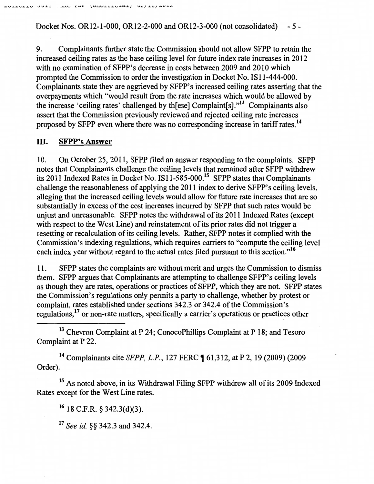Docket Nos. OR12-1-000, OR12-2-000 and OR12-3-000 (not consolidated) - 5-

9. Complainants further state the Commission should not allow SFPP to retain the increased ceiling rates as the base ceiling level for future index rate increases in 2012 with no examination of SFPP's decrease in costs between 2009 and 2010 which prompted the Commission to order the investigation in Docket No. IS 11-444-000. Complainants state they are aggrieved by SFPP's increased ceiling rates asserting that the overpayments which "would result from the rate increases which would be allowed by the increase 'ceiling rates' challenged by th[ese] Complaint[s]."13 Complainants also assert that the Commission previously reviewed and rejected ceiling rate increases proposed by SFPP even where there was no corresponding increase in tariff rates. <sup>14</sup>

## III. **SFPP's Answer**

10. On October 25,2011, SFPP filed an answer responding to the complaints. SFPP notes that Complainants challenge the ceiling levels that remained after SFPP withdrew its 2011 Indexed Rates in Docket No. IS11-585-000.15 SFPP states that Complainants challenge the reasonableness of applying the 2011 index to derive SFPP's ceiling levels, alleging that the increased ceiling levels would allow for future rate increases that are so substantially in excess of the cost increases incurred by SFPP that such rates would be unjust and unreasonable. SFPP notes the withdrawal of its 2011 Indexed Rates (except with respect to the West Line) and reinstatement of its prior rates did not trigger a resetting or recalculation of its ceiling levels. Rather, SFPP notes it complied with the Commission's indexing regulations, which requires carriers to "compute the ceiling level each index year without regard to the actual rates filed pursuant to this section."<sup>16</sup>

11. SFPP states the complaints are without merit and urges the Commission to dismiss them. SFPP argues that Complainants are attempting to challenge SFPP's ceiling levels as though they are rates, operations or practices of SFPP, which they are not. SFPP states the Commission's regulations only permits a party to challenge, whether by protest or complaint, rates established under sections 342.3 or 342.4 of the Commission's regulations, 17 or non-rate matters, specifically a carrier's operations or practices other

<sup>13</sup> Chevron Complaint at P 24; ConocoPhillips Complaint at P 18; and Tesoro Complaint at P 22.

<sup>14</sup> Complainants cite *SFPP, L.P.*, 127 FERC ¶ 61,312, at P 2, 19 (2009) (2009) Order).

15 As noted above, in its Withdrawal Filing SFPP withdrew all of its 2009 Indexed Rates except for the West Line rates.

16 18 C.F.R. *§* 342.3(d)(3).

17 *See id. §§* 342.3 and 342.4.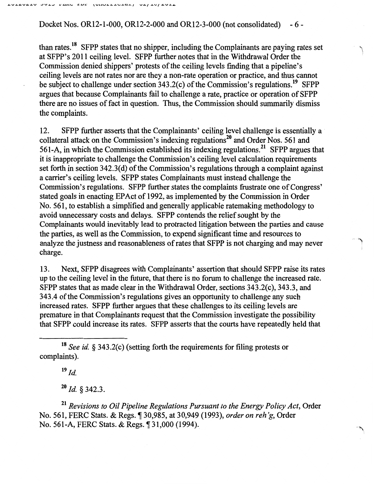Docket Nos. OR12-l-OOO, OR12-2-000 and OR12-3-000 (not consolidated) - 6-

than rates.<sup>18</sup> SFPP states that no shipper, including the Complainants are paying rates set at SFPP's 2011 ceiling level. SFPP further notes that in the Withdrawal Order the Commission denied shippers' protests of the ceiling levels finding that a pipeline's ceiling levels are not rates nor are they a non-rate operation or practice, and thus cannot be subject to challenge under section  $343.2(c)$  of the Commission's regulations.<sup>19</sup> SFPP argues that because Complainants fail to challenge a rate, practice or operation of SFPP there are no issues of fact in question. Thus, the Commission should summarily dismiss the complaints.

,, I.

")

' 'I\

12. SFPP further asserts that the Complainants' ceiling level challenge is essentially a collateral attack on the Commission's indexing regulations<sup>20</sup> and Order Nos. 561 and 561-A, in which the Commission established its indexing regulations. 21 SFPP argues that it is inappropriate to challenge the Commission's ceiling level calculation requirements set forth in section 342.3(d) of the Commission's regulations through a complaint against a carrier's ceiling levels. SFPP states Complainants must instead challenge the Commission's regulations. SFPP further states the complaints frustrate one of Congress' stated goals in enacting EP Act of 1992, as implemented by the Commission in Order No. 561, to establish a simplified and generally applicable ratemaking methodology to avoid unnecessary costs and delays. SFPP contends the relief sought by the Complainants would inevitably lead to protracted litigation between the parties and cause the parties, as well as the Commission, to expend significant time and resources to analyze the justness and reasonableness of rates that SFPP is not charging and may never charge.

13. Next, SFPP disagrees with Complainants' assertion that should SFPP raise its rates up to the ceiling level in the future, that there is no forum to challenge the increased rate. SFPP states that as made clear in the Withdrawal Order, sections 343.2(c), 343.3, and 343.4 of the Commission's regulations gives an opportunity to challenge any such increased rates. SFPP further argues that these challenges to its ceiling levels are premature in that Complainants request that the Commission investigate the possibility that SFPP could increase its rates. SFPP asserts that the courts have repeatedly held that

 $19^{\frac{19}{d}}$ 

<sup>20</sup>*/d.* § 342.3.

<sup>21</sup>*Revisions to Oil Pipeline Regulations Pursuant to the Energy Policy Act,* Order No. 561, FERC Stats. & Regs.~ 30,985, at 30,949 (1993), *order on reh 'g,* Order No. 561-A, FERC Stats. & Regs. 1 31,000 (1994).

<sup>18</sup>*See id.* § 343.2(c) (setting forth the requirements for filing protests or complaints).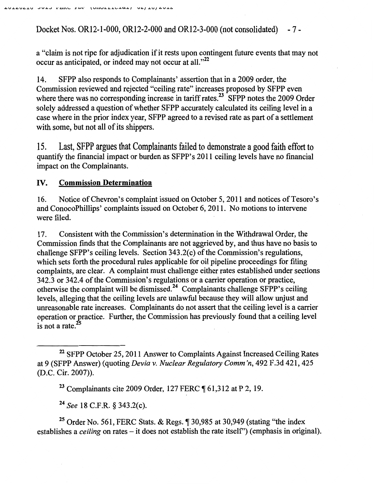Docket Nos. OR12-1-000, OR12-2-000 and OR12-3-000 (not consolidated) - 7-

a "claim is not ripe for adjudication if it rests upon contingent future events that may not occur as anticipated, or indeed may not occur at all."<sup>22</sup>

14. SFPP also responds to Complainants' assertion that in a 2009 order, the Commission reviewed and rejected "ceiling rate" increases proposed by SFPP even where there was no corresponding increase in tariff rates.<sup>23</sup> SFPP notes the 2009 Order solely addressed a question of whether SFPP accurately calculated its ceiling level in a case where in the prior index year, SFPP agreed to a revised rate as part of a settlement with some, but not all of its shippers.

15. Last, SFPP argues that Complainants failed to demonstrate a good faith effort to quantity the financial impact or burden as SFPP's 2011 ceiling levels have no financial impact on the Complainants.

## IV. **Commission Determination**

16. Notice of Chevron's complaint issued on October 5, 2011 and notices of Tesoro's and ConocoPhillips' complaints issued on October 6, 2011. No motions to intervene were filed.

17. Consistent with the Commission's determination in the Withdrawal Order, the Commission finds that the Complainants are not aggrieved by, and thus have no basis to challenge SFPP's ceiling levels. Section  $343.2(c)$  of the Commission's regulations, which sets forth the procedural rules applicable for oil pipeline proceedings for filing complaints, are clear. A complaint must challenge either rates established under sections 342.3 or 342.4 of the Commission's regulations or a carrier operation or practice, otherwise the complaint will be dismissed.24 Complainants challenge SFPP's ceiling levels, alleging that the ceiling levels are unlawful because they will allow unjust and unreasonable rate increases. Complainants do not assert that the ceiling level is a carrier operation or gractice. Further, the Commission has previously found that a ceiling level is not a rate. $^{25}$ 

<sup>23</sup> Complainants cite 2009 Order, 127 FERC ¶ 61,312 at P 2, 19.

<sup>24</sup>*See* 18 C.F.R. § 343.2(c).

<sup>25</sup> Order No. 561, FERC Stats. & Regs.  $\sqrt{ }$  30,985 at 30,949 (stating "the index establishes a *ceiling* on rates – it does not establish the rate itself") (emphasis in original).

<sup>&</sup>lt;sup>22</sup> SFPP October 25, 2011 Answer to Complaints Against Increased Ceiling Rates at 9 (SFPP Answer) (quoting *Devia v. Nuclear Regulatory Comm 'n,* 492 F.3d 421,425 (D.C. Cir. 2007)).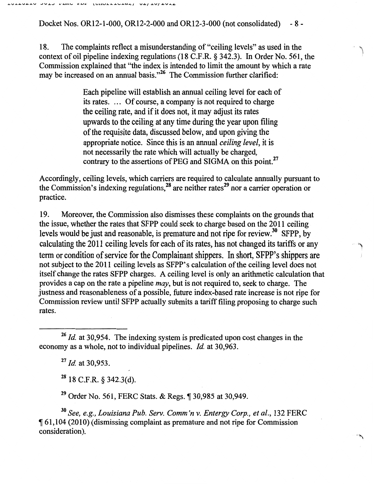Docket Nos. OR12-1-000, OR12-2-000 and OR12-3-000 (not consolidated) - 8 -

18. The complaints reflect a misunderstanding of "ceiling levels" as used in the context of oil pipeline indexing regulations (18 C.F.R. § 342.3). In Order No. 561, the Commission explained that ''the index is intended to limit the amount by which a rate may be increased on an annual basis."<sup>26</sup> The Commission further clarified:

'\ I

Each pipeline will establish an annual ceiling level for each of its rates. ... Of course, a company is not required to charge the ceiling rate, and if it does not, it may adjust its rates upwards to the ceiling at any time during the year upon filing of the requisite data, discussed below, and upon giving the appropriate notice. Since this is an annual *ceiling level,* it is not necessarily the rate which will actually be charged, contrary to the assertions of PEG and SIGMA on this point.<sup>27</sup>

Accordingly, ceiling levels, which carriers are required to calculate annually pursuant to the Commission's indexing regulations,  $28$  are neither rates  $29$  nor a carrier operation or practice.

19. Moreover, the Commission also dismisses these complaints on the grounds that the issue, whether the rates that SFPP could seek to charge based on the 20 11 ceiling levels would be just and reasonable, is premature and not ripe for review.<sup>30</sup> SFPP, by calculating the 2011 ceiling levels for each of its rates, has not changed its tariffs or any term or condition of service for the Complainant shippers. In short, SFPP's shippers are not subject to the 2011 ceiling levels as SFPP's calculation of the ceiling level does not itself change the rates SFPP charges. A ceiling level is only an arithmetic calculation that provides a cap on the rate a pipeline *may,* but is not required to, seek to charge. The justness and reasonableness of a possible, future index-based rate increase is not ripe for Commission review until SFPP actually submits a tariff filing proposing to charge such rates.

<sup>27</sup>*/d.* at 30,953.

 $28$  18 C.F.R. § 342.3(d).

<sup>29</sup> Order No. 561, FERC Stats. & Regs.  $\sqrt{130,985}$  at 30,949.

<sup>30</sup>*See, e.g., Louisiana Pub. Serv. Comm 'n v. Entergy Corp., et al.,* 132 FERC <sup>~</sup>61,104 (2010) (dismissing complaint as premature and not ripe for Commission consideration).

 $26$  *Id.* at 30,954. The indexing system is predicated upon cost changes in the economy as a whole, not to individual pipelines. *Id.* at 30,963.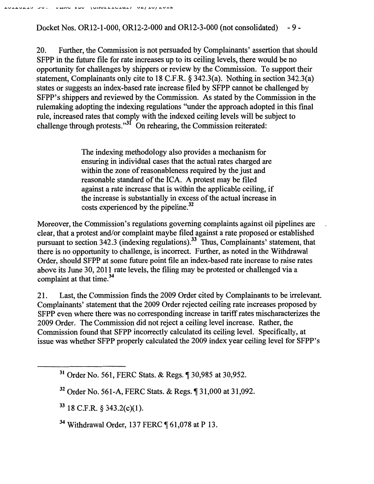Docket Nos. OR12-1-000, OR12-2-000 and OR12-3-000 (not consolidated) -9-

20. Further, the Commission is not persuaded by Complainants' assertion that should SFPP in the future file for rate increases up to its ceiling levels, there would be no opportunity for challenges by shippers or review by the Commission. To support their statement, Complainants only cite to 18 C.P.R.§ 342.3(a). Nothing in section 342.3(a) states or suggests an index-based rate increase filed by SFPP cannot be challenged by SFPP's shippers and reviewed by the Commission. As stated by the Commission in the rulemaking adopting the indexing regulations "under the approach adopted in this fmal rule, increased rates that comply with the indexed ceiling levels will be subject to challenge through protests. $\overline{31}$  On rehearing, the Commission reiterated:

> The indexing methodology also provides a mechanism for ensuring in individual cases that the actual rates charged are within the zone of reasonableness required by the just and reasonable standard of the ICA. A protest may be filed against a rate increase that is within the applicable ceiling, if the increase is substantially in excess of the actual increase in costs experienced by the pipeline.<sup>32</sup>

Moreover, the Commission's regulations governing complaints against oil pipelines are clear, that a protest and/or complaint maybe filed against a rate proposed or established pursuant to section 342.3 (indexing regulations).33 Thus, Complainants' statement, that there is no opportunity to challenge, is incorrect. Further, as noted in the Withdrawal Order, should SFPP at some future point file an index-based rate increase to raise rates above its June 30, 2011 rate levels, the filing may be protested or challenged via a complaint at that time.<sup>34</sup>

21. Last, the Commission fmds the 2009 Order cited by Complainants to be irrelevant. Complainants' statement that the 2009 Order rejected ceiling rate increases proposed by SFPP even where there was no corresponding increase in tariff rates mischaracterizes the 2009 Order. The Commission did not reject a ceiling level increase. Rather, the Commission found that SFPP incorrectly calculated its ceiling level. Specifically, at issue was whether SFPP properly calculated the 2009 index year ceiling level for SFPP's

 $33$  18 C.F.R. § 343.2(c)(1).

 $34$  Withdrawal Order, 137 FERC  $\P$  61,078 at P 13.

<sup>&</sup>lt;sup>31</sup> Order No. 561, FERC Stats. & Regs. ¶ 30,985 at 30,952.

 $32$  Order No. 561-A, FERC Stats. & Regs.  $$31,000$  at 31,092.